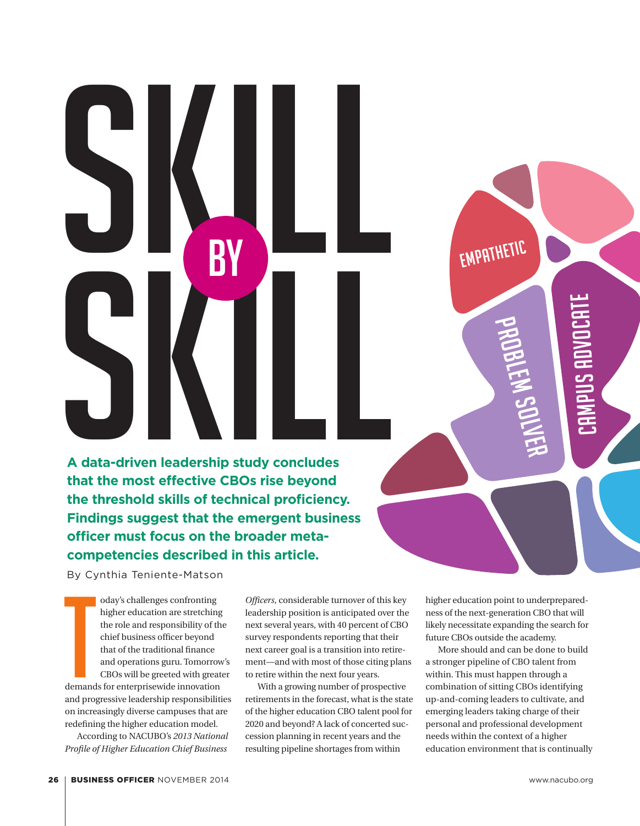## Skill by **A data-driven leadership study concludes that the most effective CBOs rise beyond the threshold skills of technical proficiency. Findings suggest that the emergent business officer must focus on the broader metacompetencies described in this article.**

SKILL RIVER

By Cynthia Teniente-Matson

By Cy oday's challenges confronting higher education are stretching the role and responsibility of the chief business officer beyond that of the traditional finance and operations guru. Tomorrow's CBOs will be greeted with greater demands for enterprisewide innovation and progressive leadership responsibilities on increasingly diverse campuses that are redefining the higher education model.

According to NACUBO's *2013 National Profile of Higher Education Chief Business* 

*Officers*, considerable turnover of this key leadership position is anticipated over the next several years, with 40 percent of CBO survey respondents reporting that their next career goal is a transition into retirement—and with most of those citing plans to retire within the next four years.

With a growing number of prospective retirements in the forecast, what is the state of the higher education CBO talent pool for 2020 and beyond? A lack of concerted succession planning in recent years and the resulting pipeline shortages from within

higher education point to underpreparedness of the next-generation CBO that will likely necessitate expanding the search for future CBOs outside the academy.

Problem solver

Campus advocate

Empathetic

More should and can be done to build a stronger pipeline of CBO talent from within. This must happen through a combination of sitting CBOs identifying up-and-coming leaders to cultivate, and emerging leaders taking charge of their personal and professional development needs within the context of a higher education environment that is continually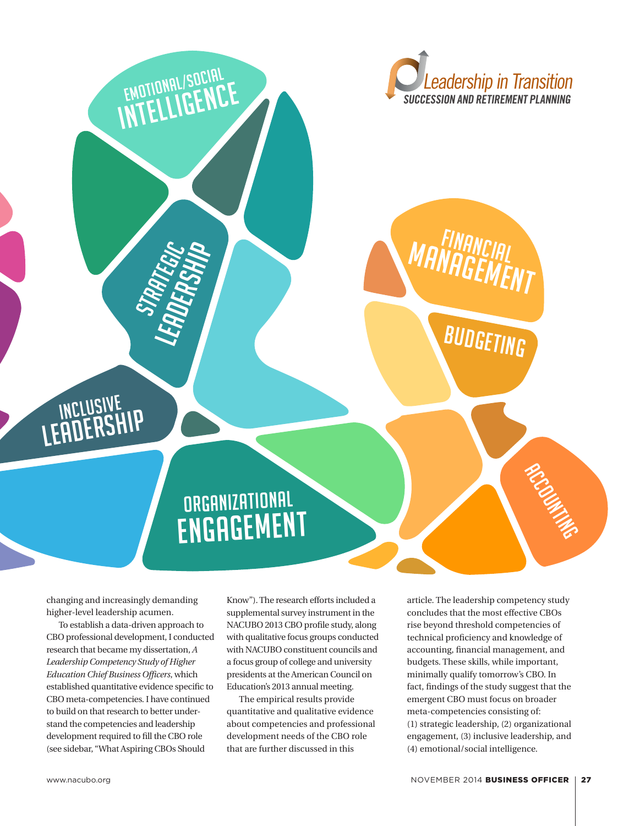



# ORGANIZATIONAL

LEADERSHIP<br>JRADERSHIP

STRATEGIC<br>**UFP** FGIC

EMOTIONAL/SOCIAL

EMOTIONHL/SENCE

changing and increasingly demanding higher-level leadership acumen.

Inclusive LEADERSHIP

To establish a data-driven approach to CBO professional development, I conducted research that became my dissertation, *A Leadership Competency Study of Higher Education Chief Business Officers*, which established quantitative evidence specific to CBO meta-competencies. I have continued to build on that research to better understand the competencies and leadership development required to fill the CBO role (see sidebar, "What Aspiring CBOs Should

Know"). The research efforts included a supplemental survey instrument in the NACUBO 2013 CBO profile study, along with qualitative focus groups conducted with NACUBO constituent councils and a focus group of college and university presidents at the American Council on Education's 2013 annual meeting.

The empirical results provide quantitative and qualitative evidence about competencies and professional development needs of the CBO role that are further discussed in this

article. The leadership competency study concludes that the most effective CBOs rise beyond threshold competencies of technical proficiency and knowledge of accounting, financial management, and budgets. These skills, while important, minimally qualify tomorrow's CBO. In fact, findings of the study suggest that the emergent CBO must focus on broader meta-competencies consisting of: (1) strategic leadership, (2) organizational engagement, (3) inclusive leadership, and (4) emotional/social intelligence.

RCCOUNTYS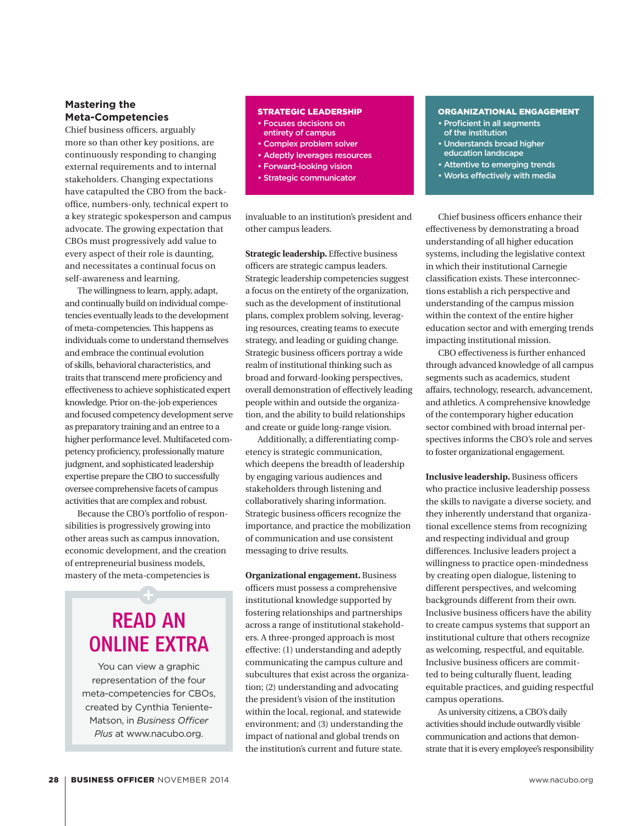### **Mastering the Meta-Competencies**

Chief business officers, arguably more so than other key positions, are continuously responding to changing external requirements and to internal stakeholders. Changing expectations have catapulted the CBO from the backoffice, numbers-only, technical expert to a key strategic spokesperson and campus advocate. The growing expectation that CBOs must progressively add value to every aspect of their role is daunting, and necessitates a continual focus on self-awareness and learning.

The willingness to learn, apply, adapt, and continually build on individual competencies eventually leads to the development of meta-competencies. This happens as individuals come to understand themselves and embrace the continual evolution of skills, behavioral characteristics, and traits that transcend mere proficiency and effectiveness to achieve sophisticated expert knowledge. Prior on-the-job experiences and focused competency development serve as preparatory training and an entree to a higher performance level. Multifaceted competency proficiency, professionally mature judgment, and sophisticated leadership expertise prepare the CBO to successfully oversee comprehensive facets of campus activities that are complex and robust.

Because the CBO's portfolio of responsibilities is progressively growing into other areas such as campus innovation, economic development, and the creation of entrepreneurial business models, mastery of the meta-competencies is

### READ AN ONLINE EXTRA

You can view a graphic representation of the four meta-competencies for CBOs, created by Cynthia Teniente-Matson, in *Business Officer Plus* at www.nacubo.org.

#### STRATEGIC LEADERSHIP

- Focuses decisions on
- entirety of campus
- Complex problem solver
- Adeptly leverages resources
- Forward-looking vision
- Strategic communicator

invaluable to an institution's president and other campus leaders.

**Strategic leadership.** Effective business officers are strategic campus leaders. Strategic leadership competencies suggest a focus on the entirety of the organization, such as the development of institutional plans, complex problem solving, leveraging resources, creating teams to execute strategy, and leading or guiding change. Strategic business officers portray a wide realm of institutional thinking such as broad and forward-looking perspectives, overall demonstration of effectively leading people within and outside the organization, and the ability to build relationships and create or guide long-range vision.

Additionally, a differentiating competency is strategic communication, which deepens the breadth of leadership by engaging various audiences and stakeholders through listening and collaboratively sharing information. Strategic business officers recognize the importance, and practice the mobilization of communication and use consistent messaging to drive results.

**Organizational engagement.** Business officers must possess a comprehensive institutional knowledge supported by fostering relationships and partnerships across a range of institutional stakeholders. A three-pronged approach is most effective: (1) understanding and adeptly communicating the campus culture and subcultures that exist across the organization; (2) understanding and advocating the president's vision of the institution within the local, regional, and statewide environment; and (3) understanding the impact of national and global trends on the institution's current and future state.

### ORGANIZATIONAL ENGAGEMENT

- Proficient in all segments of the institution
- Understands broad higher education landscape
- Attentive to emerging trends
- Works effectively with media

Chief business officers enhance their effectiveness by demonstrating a broad understanding of all higher education systems, including the legislative context in which their institutional Carnegie classification exists. These interconnections establish a rich perspective and understanding of the campus mission within the context of the entire higher education sector and with emerging trends impacting institutional mission.

CBO effectiveness is further enhanced through advanced knowledge of all campus segments such as academics, student affairs, technology, research, advancement, and athletics. A comprehensive knowledge of the contemporary higher education sector combined with broad internal perspectives informs the CBO's role and serves to foster organizational engagement.

**Inclusive leadership.** Business officers who practice inclusive leadership possess the skills to navigate a diverse society, and they inherently understand that organizational excellence stems from recognizing and respecting individual and group differences. Inclusive leaders project a willingness to practice open-mindedness by creating open dialogue, listening to different perspectives, and welcoming backgrounds different from their own. Inclusive business officers have the ability to create campus systems that support an institutional culture that others recognize as welcoming, respectful, and equitable. Inclusive business officers are committed to being culturally fluent, leading equitable practices, and guiding respectful campus operations.

As university citizens, a CBO's daily activities should include outwardly visible communication and actions that demonstrate that it is every employee's responsibility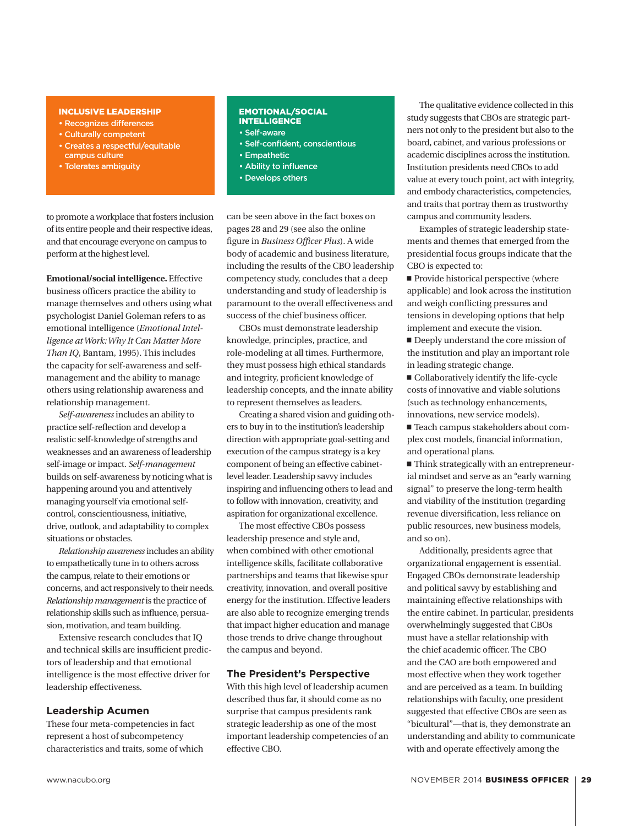#### INCLUSIVE LEADERSHIP

- Recognizes differences
- Culturally competent
- Creates a respectful/equitable campus culture
- Tolerates ambiguity

#### EMOTIONAL/SOCIAL INTELLIGENCE

- Self-aware
- Self-confident, conscientious
- Empathetic
- Ability to influence
- Develops others

to promote a workplace that fosters inclusion of its entire people and their respective ideas, and that encourage everyone on campus to perform at the highest level.

**Emotional/social intelligence.** Effective business officers practice the ability to manage themselves and others using what psychologist Daniel Goleman refers to as emotional intelligence (*Emotional Intelligence at Work: Why It Can Matter More Than IQ*, Bantam, 1995). This includes the capacity for self-awareness and selfmanagement and the ability to manage others using relationship awareness and relationship management.

*Self-awareness* includes an ability to practice self-reflection and develop a realistic self-knowledge of strengths and weaknesses and an awareness of leadership self-image or impact. *Self-management* builds on self-awareness by noticing what is happening around you and attentively managing yourself via emotional selfcontrol, conscientiousness, initiative, drive, outlook, and adaptability to complex situations or obstacles.

*Relationship awareness* includes an ability to empathetically tune in to others across the campus, relate to their emotions or concerns, and act responsively to their needs. *Relationship management* is the practice of relationship skills such as influence, persuasion, motivation, and team building.

Extensive research concludes that IQ and technical skills are insufficient predictors of leadership and that emotional intelligence is the most effective driver for leadership effectiveness.

### **Leadership Acumen**

These four meta-competencies in fact represent a host of subcompetency characteristics and traits, some of which can be seen above in the fact boxes on pages 28 and 29 (see also the online figure in *Business Officer Plus*). A wide body of academic and business literature, including the results of the CBO leadership competency study, concludes that a deep understanding and study of leadership is paramount to the overall effectiveness and success of the chief business officer.

CBOs must demonstrate leadership knowledge, principles, practice, and role-modeling at all times. Furthermore, they must possess high ethical standards and integrity, proficient knowledge of leadership concepts, and the innate ability to represent themselves as leaders.

Creating a shared vision and guiding others to buy in to the institution's leadership direction with appropriate goal-setting and execution of the campus strategy is a key component of being an effective cabinetlevel leader. Leadership savvy includes inspiring and influencing others to lead and to follow with innovation, creativity, and aspiration for organizational excellence.

The most effective CBOs possess leadership presence and style and, when combined with other emotional intelligence skills, facilitate collaborative partnerships and teams that likewise spur creativity, innovation, and overall positive energy for the institution. Effective leaders are also able to recognize emerging trends that impact higher education and manage those trends to drive change throughout the campus and beyond.

### **The President's Perspective**

With this high level of leadership acumen described thus far, it should come as no surprise that campus presidents rank strategic leadership as one of the most important leadership competencies of an effective CBO.

The qualitative evidence collected in this study suggests that CBOs are strategic partners not only to the president but also to the board, cabinet, and various professions or academic disciplines across the institution. Institution presidents need CBOs to add value at every touch point, act with integrity, and embody characteristics, competencies, and traits that portray them as trustworthy campus and community leaders.

Examples of strategic leadership statements and themes that emerged from the presidential focus groups indicate that the CBO is expected to:

 $\blacksquare$  Provide historical perspective (where applicable) and look across the institution and weigh conflicting pressures and tensions in developing options that help implement and execute the vision.

 $\blacksquare$  Deeply understand the core mission of the institution and play an important role in leading strategic change.

 $\blacksquare$  Collaboratively identify the life-cycle costs of innovative and viable solutions (such as technology enhancements, innovations, new service models).

■ Teach campus stakeholders about complex cost models, financial information, and operational plans.

 $\blacksquare$  Think strategically with an entrepreneurial mindset and serve as an "early warning signal" to preserve the long-term health and viability of the institution (regarding revenue diversification, less reliance on public resources, new business models, and so on).

Additionally, presidents agree that organizational engagement is essential. Engaged CBOs demonstrate leadership and political savvy by establishing and maintaining effective relationships with the entire cabinet. In particular, presidents overwhelmingly suggested that CBOs must have a stellar relationship with the chief academic officer. The CBO and the CAO are both empowered and most effective when they work together and are perceived as a team. In building relationships with faculty, one president suggested that effective CBOs are seen as "bicultural"—that is, they demonstrate an understanding and ability to communicate with and operate effectively among the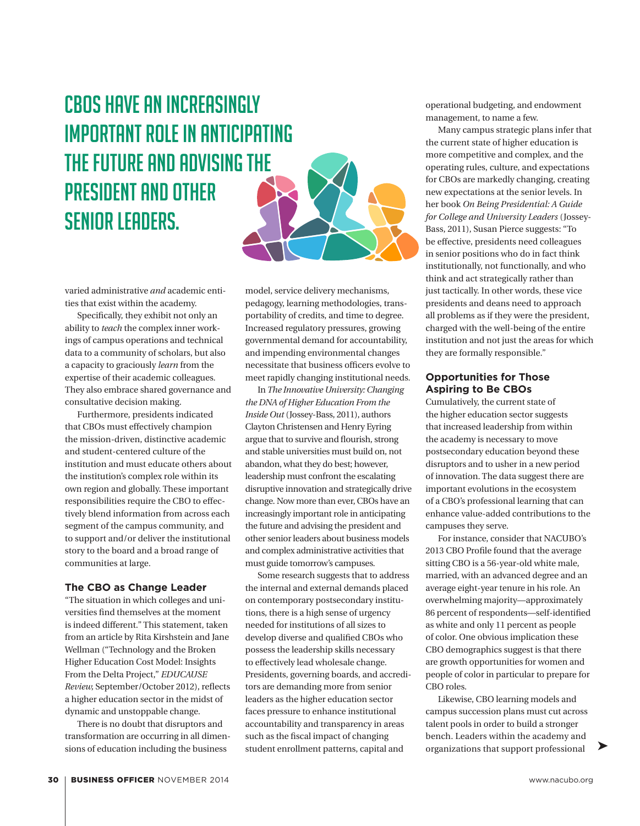### CBOs have an increasingly important role in anticipating the future and advising the president and other senior leaders.



varied administrative *and* academic entities that exist within the academy.

Specifically, they exhibit not only an ability to *teach* the complex inner workings of campus operations and technical data to a community of scholars, but also a capacity to graciously *learn* from the expertise of their academic colleagues. They also embrace shared governance and consultative decision making.

Furthermore, presidents indicated that CBOs must effectively champion the mission-driven, distinctive academic and student-centered culture of the institution and must educate others about the institution's complex role within its own region and globally. These important responsibilities require the CBO to effectively blend information from across each segment of the campus community, and to support and/or deliver the institutional story to the board and a broad range of communities at large.

### **The CBO as Change Leader**

"The situation in which colleges and universities find themselves at the moment is indeed different." This statement, taken from an article by Rita Kirshstein and Jane Wellman ("Technology and the Broken Higher Education Cost Model: Insights From the Delta Project," *EDUCAUSE Review,* September/October 2012), reflects a higher education sector in the midst of dynamic and unstoppable change.

There is no doubt that disruptors and transformation are occurring in all dimensions of education including the business

model, service delivery mechanisms, pedagogy, learning methodologies, transportability of credits, and time to degree. Increased regulatory pressures, growing governmental demand for accountability, and impending environmental changes necessitate that business officers evolve to meet rapidly changing institutional needs.

In *The Innovative University: Changing the DNA of Higher Education From the Inside Out* (Jossey-Bass, 2011), authors Clayton Christensen and Henry Eyring argue that to survive and flourish, strong and stable universities must build on, not abandon, what they do best; however, leadership must confront the escalating disruptive innovation and strategically drive change. Now more than ever, CBOs have an increasingly important role in anticipating the future and advising the president and other senior leaders about business models and complex administrative activities that must guide tomorrow's campuses.

Some research suggests that to address the internal and external demands placed on contemporary postsecondary institutions, there is a high sense of urgency needed for institutions of all sizes to develop diverse and qualified CBOs who possess the leadership skills necessary to effectively lead wholesale change. Presidents, governing boards, and accreditors are demanding more from senior leaders as the higher education sector faces pressure to enhance institutional accountability and transparency in areas such as the fiscal impact of changing student enrollment patterns, capital and

operational budgeting, and endowment management, to name a few.

Many campus strategic plans infer that the current state of higher education is more competitive and complex, and the operating rules, culture, and expectations for CBOs are markedly changing, creating new expectations at the senior levels. In her book *On Being Presidential: A Guide for College and University Leaders* (Jossey-Bass, 2011), Susan Pierce suggests: "To be effective, presidents need colleagues in senior positions who do in fact think institutionally, not functionally, and who think and act strategically rather than just tactically. In other words, these vice presidents and deans need to approach all problems as if they were the president, charged with the well-being of the entire institution and not just the areas for which they are formally responsible."

### **Opportunities for Those Aspiring to Be CBOs**

Cumulatively, the current state of the higher education sector suggests that increased leadership from within the academy is necessary to move postsecondary education beyond these disruptors and to usher in a new period of innovation. The data suggest there are important evolutions in the ecosystem of a CBO's professional learning that can enhance value-added contributions to the campuses they serve.

For instance, consider that NACUBO's 2013 CBO Profile found that the average sitting CBO is a 56-year-old white male, married, with an advanced degree and an average eight-year tenure in his role. An overwhelming majority—approximately 86 percent of respondents—self-identified as white and only 11 percent as people of color. One obvious implication these CBO demographics suggest is that there are growth opportunities for women and people of color in particular to prepare for CBO roles.

Likewise, CBO learning models and campus succession plans must cut across talent pools in order to build a stronger bench. Leaders within the academy and organizations that support professional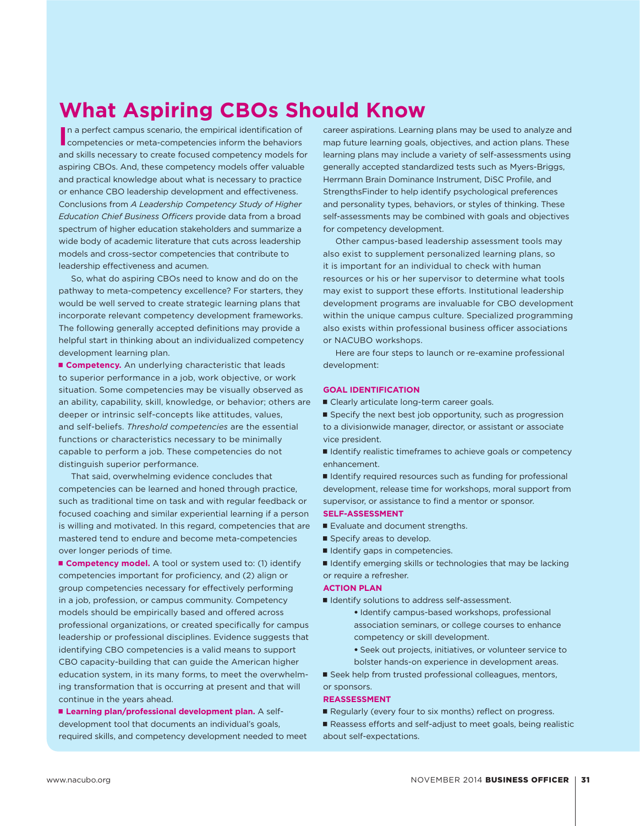### **What Aspiring CBOs Should Know**

**I**n a perfect campus scenario, the empirical identification of competencies or meta-competencies inform the behaviors n a perfect campus scenario, the empirical identification of and skills necessary to create focused competency models for aspiring CBOs. And, these competency models offer valuable and practical knowledge about what is necessary to practice or enhance CBO leadership development and effectiveness. Conclusions from *A Leadership Competency Study of Higher Education Chief Business Officers* provide data from a broad spectrum of higher education stakeholders and summarize a wide body of academic literature that cuts across leadership models and cross-sector competencies that contribute to leadership effectiveness and acumen.

So, what do aspiring CBOs need to know and do on the pathway to meta-competency excellence? For starters, they would be well served to create strategic learning plans that incorporate relevant competency development frameworks. The following generally accepted definitions may provide a helpful start in thinking about an individualized competency development learning plan.

**E** Competency. An underlying characteristic that leads to superior performance in a job, work objective, or work situation. Some competencies may be visually observed as an ability, capability, skill, knowledge, or behavior; others are deeper or intrinsic self-concepts like attitudes, values, and self-beliefs. *Threshold competencies* are the essential functions or characteristics necessary to be minimally capable to perform a job. These competencies do not distinguish superior performance.

That said, overwhelming evidence concludes that competencies can be learned and honed through practice, such as traditional time on task and with regular feedback or focused coaching and similar experiential learning if a person is willing and motivated. In this regard, competencies that are mastered tend to endure and become meta-competencies over longer periods of time.

**E** Competency model. A tool or system used to: (1) identify competencies important for proficiency, and (2) align or group competencies necessary for effectively performing in a job, profession, or campus community. Competency models should be empirically based and offered across professional organizations, or created specifically for campus leadership or professional disciplines. Evidence suggests that identifying CBO competencies is a valid means to support CBO capacity-building that can guide the American higher education system, in its many forms, to meet the overwhelming transformation that is occurring at present and that will continue in the years ahead.

**E** Learning plan/professional development plan. A selfdevelopment tool that documents an individual's goals, required skills, and competency development needed to meet career aspirations. Learning plans may be used to analyze and map future learning goals, objectives, and action plans. These learning plans may include a variety of self-assessments using generally accepted standardized tests such as Myers-Briggs, Herrmann Brain Dominance Instrument, DiSC Profile, and StrengthsFinder to help identify psychological preferences and personality types, behaviors, or styles of thinking. These self-assessments may be combined with goals and objectives for competency development.

Other campus-based leadership assessment tools may also exist to supplement personalized learning plans, so it is important for an individual to check with human resources or his or her supervisor to determine what tools may exist to support these efforts. Institutional leadership development programs are invaluable for CBO development within the unique campus culture. Specialized programming also exists within professional business officer associations or NACUBO workshops.

Here are four steps to launch or re-examine professional development:

### **GOAL IDENTIFICATION**

■ Clearly articulate long-term career goals.

■ Specify the next best job opportunity, such as progression to a divisionwide manager, director, or assistant or associate vice president.

■ Identify realistic timeframes to achieve goals or competency enhancement.

 $\blacksquare$  Identify required resources such as funding for professional development, release time for workshops, moral support from supervisor, or assistance to find a mentor or sponsor.

### **SELF-ASSESSMENT**

- Evaluate and document strengths.
- Specify areas to develop.
- I Identify gaps in competencies.

■ Identify emerging skills or technologies that may be lacking or require a refresher.

### **ACTION PLAN**

■ Identify solutions to address self-assessment.

- Identify campus-based workshops, professional association seminars, or college courses to enhance competency or skill development.
- Seek out projects, initiatives, or volunteer service to bolster hands-on experience in development areas.

 $\blacksquare$  Seek help from trusted professional colleagues, mentors,

### **REASSESSMENT**

or sponsors.

Regularly (every four to six months) reflect on progress.

Reassess efforts and self-adjust to meet goals, being realistic about self-expectations.